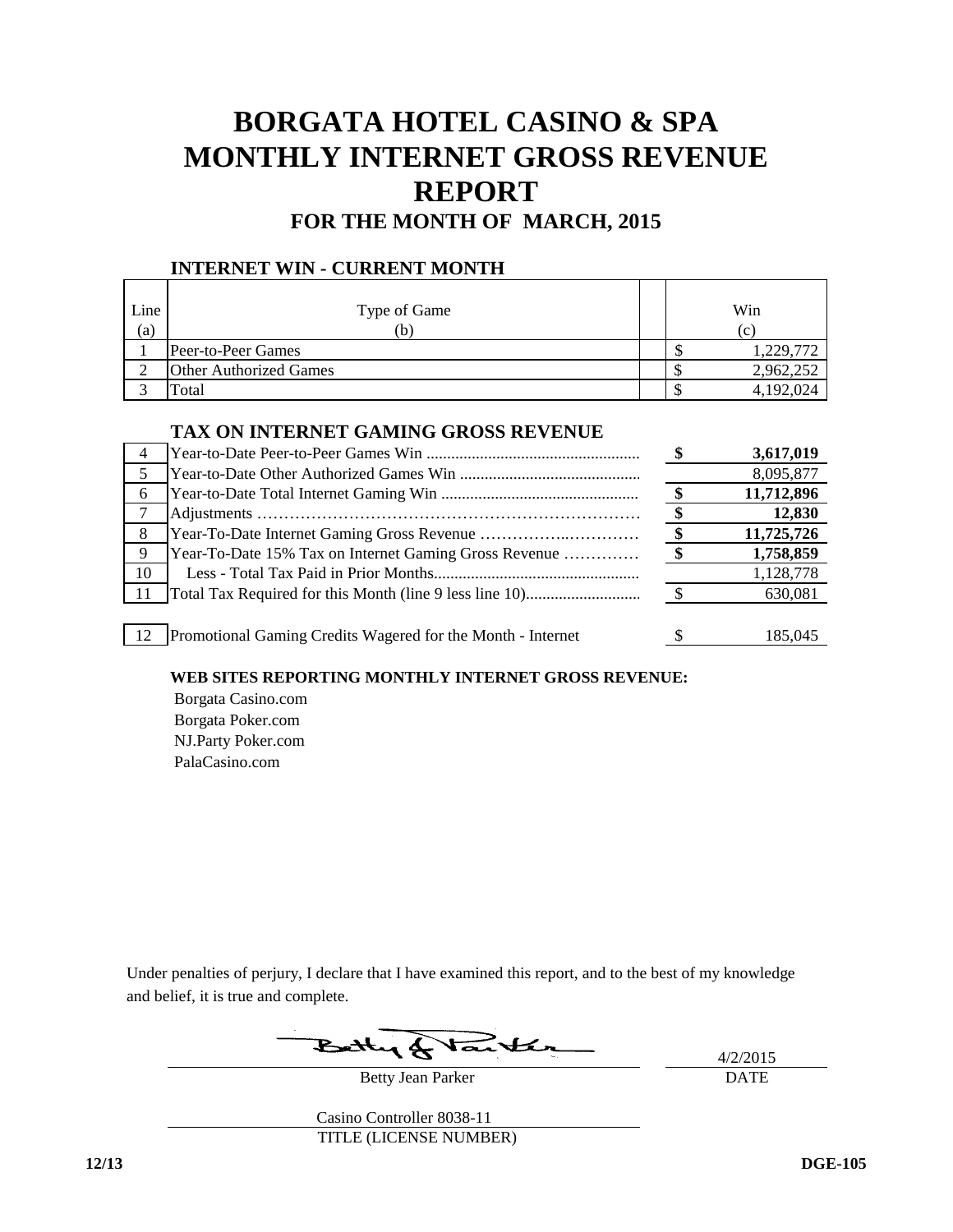## **BORGATA HOTEL CASINO & SPA MONTHLY INTERNET GROSS REVENUE FOR THE MONTH OF MARCH, 2015 REPORT**

# **INTERNET WIN - CURRENT MONTH**

| Line<br>(a) | Type of Game<br>(b)           |  | Win<br>(c) |
|-------------|-------------------------------|--|------------|
|             | Peer-to-Peer Games            |  | 1,229,772  |
|             | <b>Other Authorized Games</b> |  | 2,962,252  |
|             | Гоtal                         |  | 4,192,024  |

### **TAX ON INTERNET GAMING GROSS REVENUE**

| $\overline{4}$ |                                                             | 3,617,019  |
|----------------|-------------------------------------------------------------|------------|
|                |                                                             | 8,095,877  |
| 6              |                                                             | 11,712,896 |
|                |                                                             | 12,830     |
| 8 <sup>8</sup> |                                                             | 11,725,726 |
| - 9            | Year-To-Date 15% Tax on Internet Gaming Gross Revenue       | 1,758,859  |
| 10             |                                                             | 1,128,778  |
| - 11           |                                                             | 630,081    |
|                |                                                             |            |
| 12             | Promotional Gaming Credits Wagered for the Month - Internet | 185.045    |

#### **WEB SITES REPORTING MONTHLY INTERNET GROSS REVENUE:**

 Borgata Casino.com Borgata Poker.com NJ.Party Poker.com PalaCasino.com

Under penalties of perjury, I declare that I have examined this report, and to the best of my knowledge and belief, it is true and complete.

Betty Jean Parker

4/2/2015 DATE

Casino Controller 8038-11 TITLE (LICENSE NUMBER)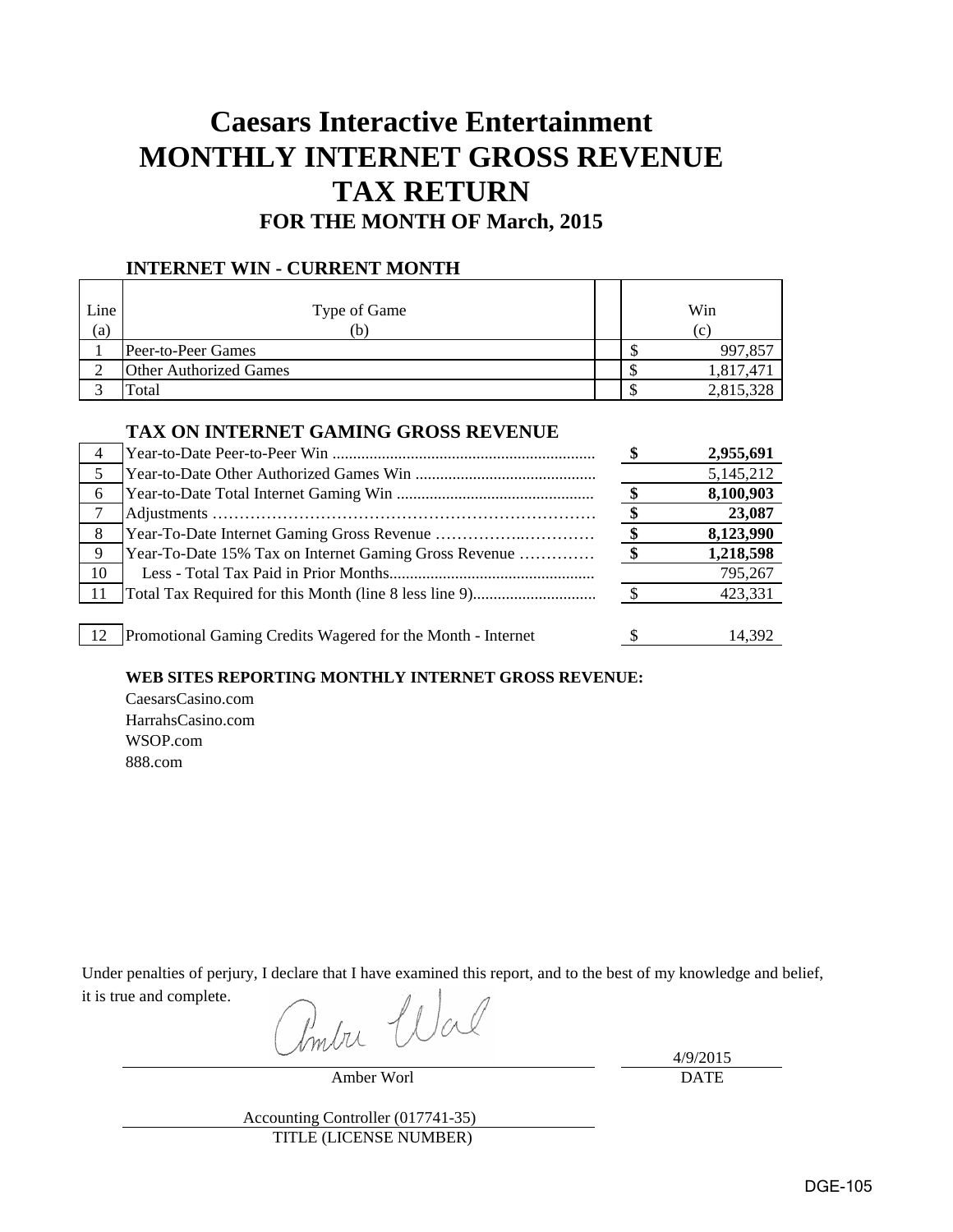# **Caesars Interactive Entertainment MONTHLY INTERNET GROSS REVENUE TAX RETURN FOR THE MONTH OF March, 2015**

### **INTERNET WIN - CURRENT MONTH**

| Line<br>(a) | Type of Game<br>(b)           |  | Win<br>$\left( c\right)$ |
|-------------|-------------------------------|--|--------------------------|
|             | Peer-to-Peer Games            |  | 997,857                  |
|             | <b>Other Authorized Games</b> |  | 1,817,47                 |
|             | Total                         |  | 2,815,328                |

### **TAX ON INTERNET GAMING GROSS REVENUE**

|     |                                                             | 2,955,691 |
|-----|-------------------------------------------------------------|-----------|
|     |                                                             | 5,145,212 |
| 6   |                                                             | 8,100,903 |
|     |                                                             | 23,087    |
| - 8 |                                                             | 8,123,990 |
| - 9 | Year-To-Date 15% Tax on Internet Gaming Gross Revenue       | 1,218,598 |
| 10  |                                                             | 795,267   |
|     |                                                             | 423,331   |
|     |                                                             |           |
| 12  | Promotional Gaming Credits Wagered for the Month - Internet | 14.392    |

### **WEB SITES REPORTING MONTHLY INTERNET GROSS REVENUE:**

CaesarsCasino.com HarrahsCasino.com WSOP.com 888.com

Under penalties of perjury, I declare that I have examined this report, and to the best of my knowledge and belief, it is true and complete.

Pomba Wal

Amber Worl

4/9/2015 DATE

Accounting Controller (017741-35) TITLE (LICENSE NUMBER)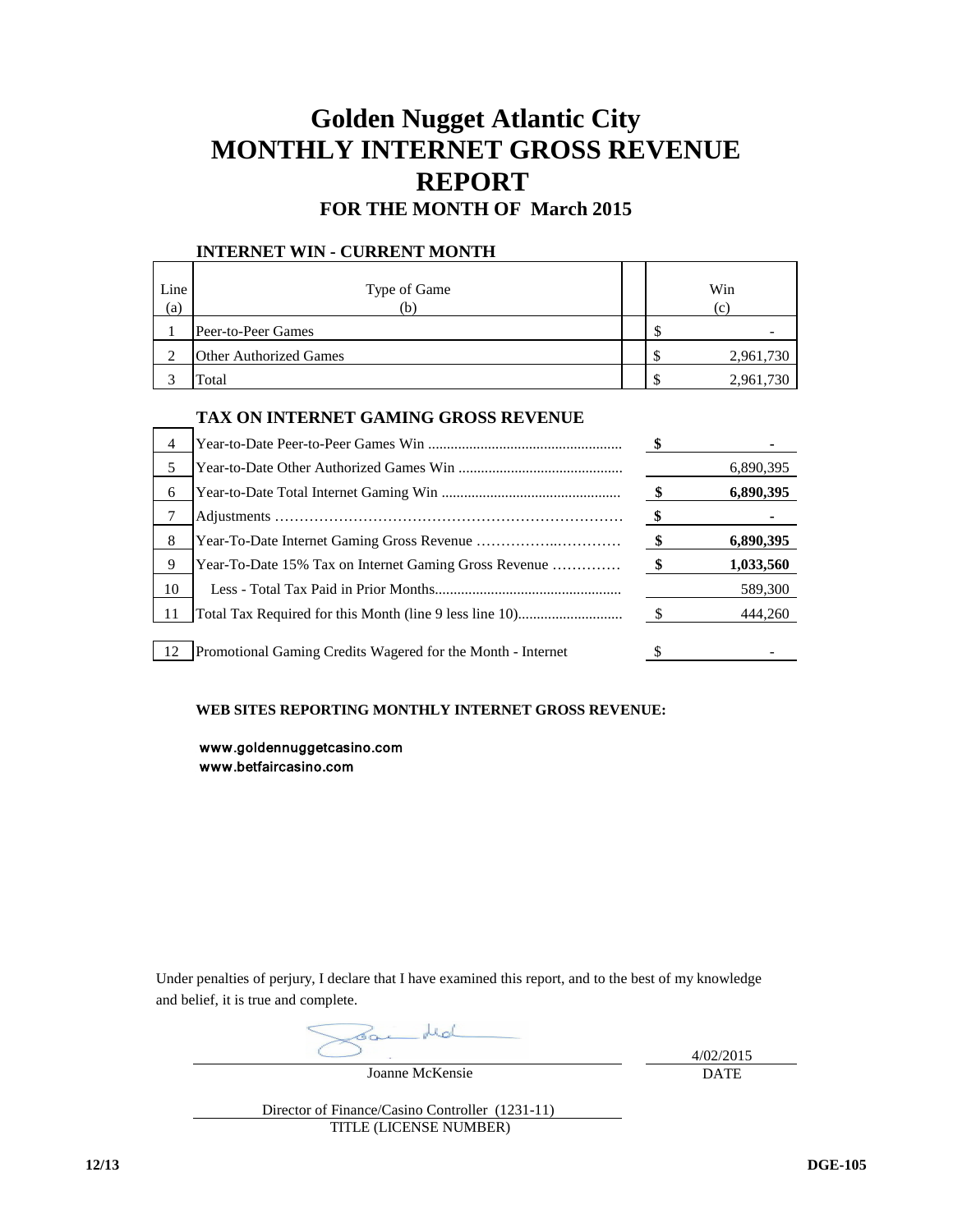# **Golden Nugget Atlantic City MONTHLY INTERNET GROSS REVENUE REPORT**

### **FOR THE MONTH OF March 2015**

### **INTERNET WIN - CURRENT MONTH**

| Line<br>(a) | Type of Game<br>Ъ,            |     | Win<br>(c) |
|-------------|-------------------------------|-----|------------|
|             | Peer-to-Peer Games            | \$  |            |
|             | <b>Other Authorized Games</b> | \$  | 2,961,730  |
|             | Total                         | \$. | 2,961,730  |

### **TAX ON INTERNET GAMING GROSS REVENUE**

| 4    |                                                             |               |           |
|------|-------------------------------------------------------------|---------------|-----------|
| 5    |                                                             |               | 6,890,395 |
| 6    |                                                             | $\mathbf{\$}$ | 6,890,395 |
|      |                                                             | - \$          |           |
| 8    |                                                             | $\bullet$     | 6,890,395 |
| 9    | Year-To-Date 15% Tax on Internet Gaming Gross Revenue       | $\bullet$     | 1,033,560 |
| 10   |                                                             |               | 589,300   |
|      |                                                             | $\mathbb{S}$  | 444,260   |
|      |                                                             |               |           |
| - 12 | Promotional Gaming Credits Wagered for the Month - Internet |               |           |

#### **WEB SITES REPORTING MONTHLY INTERNET GROSS REVENUE:**

 www.goldennuggetcasino.com www.betfaircasino.com

Under penalties of perjury, I declare that I have examined this report, and to the best of my knowledge and belief, it is true and complete.

Joanne McKensie

4/02/2015 DATE

Director of Finance/Casino Controller (1231-11) TITLE (LICENSE NUMBER)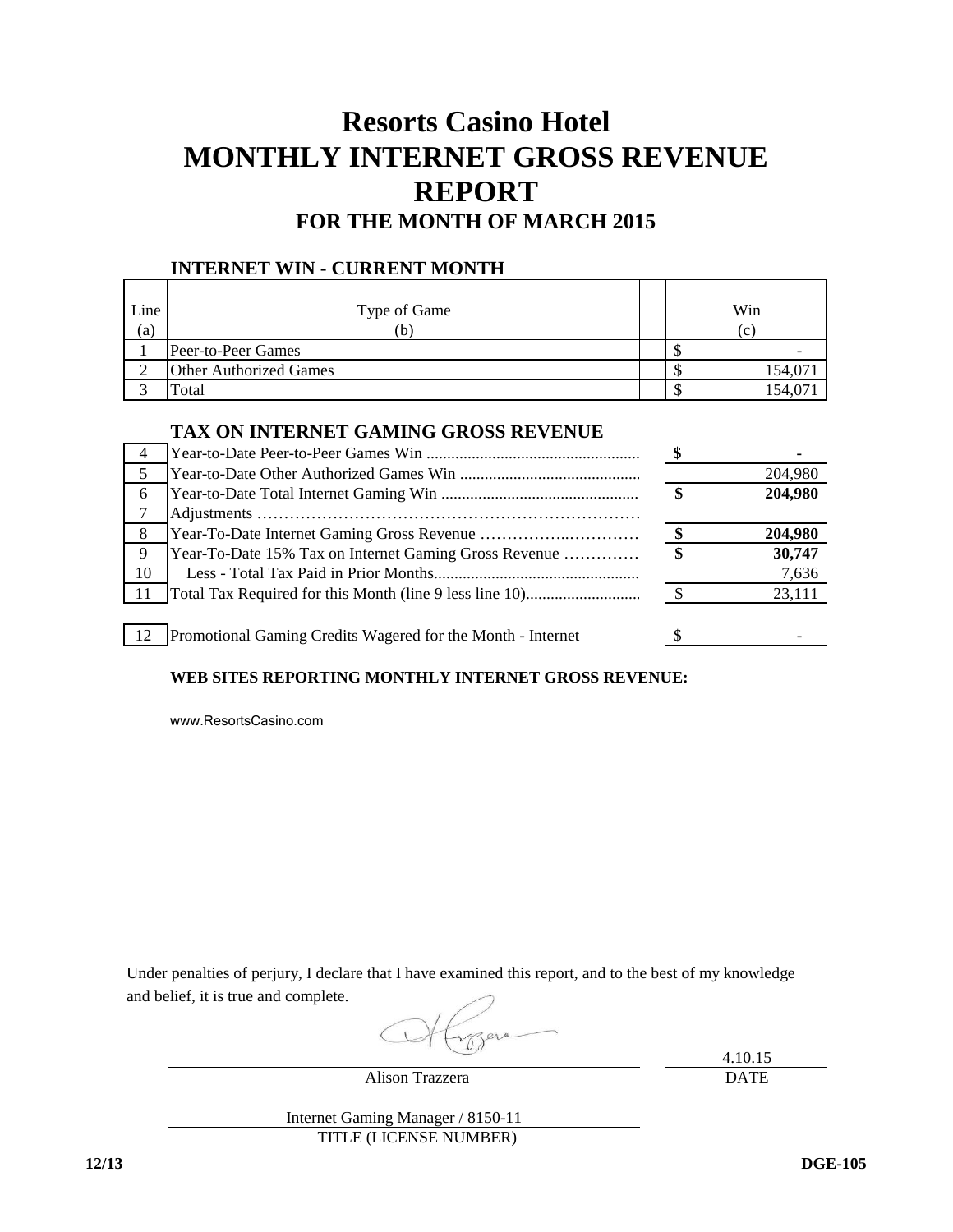## **Resorts Casino Hotel MONTHLY INTERNET GROSS REVENUE REPORT FOR THE MONTH OF MARCH 2015**

### **INTERNET WIN - CURRENT MONTH**

| Line<br>(a) | Type of Game<br>b.            |  | Win<br> c |
|-------------|-------------------------------|--|-----------|
|             | Peer-to-Peer Games            |  |           |
|             | <b>Other Authorized Games</b> |  | 154,07    |
|             | Total                         |  | 154,07    |

### **TAX ON INTERNET GAMING GROSS REVENUE**

| -5   |                                                             | 204,980 |
|------|-------------------------------------------------------------|---------|
| 6    |                                                             | 204,980 |
|      |                                                             |         |
| 8    |                                                             | 204,980 |
| -9   | Year-To-Date 15% Tax on Internet Gaming Gross Revenue       | 30,747  |
| 10   |                                                             | 7,636   |
| - 11 |                                                             | 23,111  |
|      |                                                             |         |
| 12   | Promotional Gaming Credits Wagered for the Month - Internet |         |

### **WEB SITES REPORTING MONTHLY INTERNET GROSS REVENUE:**

[www.ResortsCasino.com](http://www.resortscasino.com/)

Under penalties of perjury, I declare that I have examined this report, and to the best of my knowledge and belief, it is true and complete.

4.10.15 DATE

Alison Trazzera

Internet Gaming Manager / 8150-11 TITLE (LICENSE NUMBER)